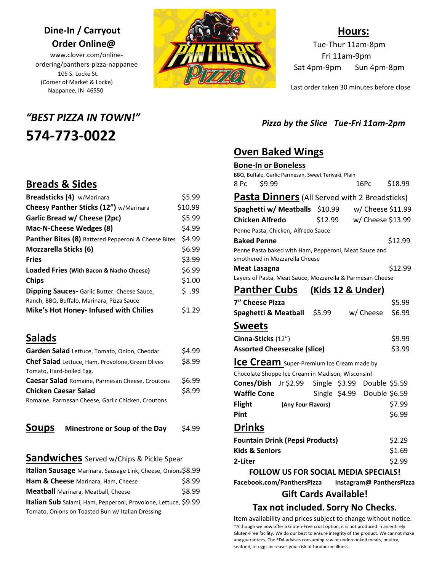# **Dine-In / Carryout Order Online@**

www.clover.com/onlineordering/panthers-pizza-nappanee 105 S. Locke St. (Corner of Market & Locke) Nappanee, IN 46550

# *"BEST PIZZA IN TOWN!"* **574-773-0022**



### **Hours:**

Tue-Thur 11am-8pm Fri 11am-9pm Sat 4pm-9pm Sun 4pm-8pm

Last order taken 30 minutes before close

#### *Pizza by the Slice**Tue-Fri 11am-2pm*

# **Oven Baked Wings**

| <b>Bone-In or Boneless</b>                                                              |  |  |                             |         |
|-----------------------------------------------------------------------------------------|--|--|-----------------------------|---------|
| BBQ, Buffalo, Garlic Parmesan, Sweet Teriyaki, Plain                                    |  |  |                             |         |
| 8 Pc<br>S9.99                                                                           |  |  | 16Pc                        | \$18.99 |
| Pasta Dinners (All Served with 2 Breadsticks)                                           |  |  |                             |         |
| Spaghetti w/ Meatballs \$10.99 w/ Cheese \$11.99                                        |  |  |                             |         |
| <b>Chicken Alfredo</b>                                                                  |  |  | \$12.99 w/ Cheese \$13.99   |         |
| Penne Pasta, Chicken, Alfredo Sauce                                                     |  |  |                             |         |
| <b>Baked Penne</b>                                                                      |  |  |                             | \$12.99 |
| Penne Pasta baked with Ham, Pepperoni, Meat Sauce and<br>smothered in Mozzarella Cheese |  |  |                             |         |
| Meat Lasagna                                                                            |  |  |                             | \$12.99 |
| Layers of Pasta, Meat Sauce, Mozzarella & Parmesan Cheese                               |  |  |                             |         |
| Panther Cubs (Kids 12 & Under)                                                          |  |  |                             |         |
| 7" Cheese Pizza                                                                         |  |  |                             | \$5.99  |
| Spaghetti & Meatball \$5.99                                                             |  |  | w/ Cheese                   | \$6.99  |
| <b>Sweets</b>                                                                           |  |  |                             |         |
| Cinna-Sticks (12")                                                                      |  |  |                             | \$9.99  |
| <b>Assorted Cheesecake (slice)</b>                                                      |  |  |                             | \$3.99  |
| Ice Cream Super-Premium Ice Cream made by                                               |  |  |                             |         |
| Chocolate Shoppe Ice Cream in Madison, Wisconsin!                                       |  |  |                             |         |
| Cones/Dish Jr \$2.99 Single \$3.99 Double \$5.59                                        |  |  |                             |         |
| <b>Waffle Cone</b>                                                                      |  |  | Single \$4.99 Double \$6.59 |         |
| <b>Flight</b><br>(Any Four Flavors)                                                     |  |  |                             | \$7.99  |
| Pint                                                                                    |  |  |                             | \$6.99  |
| <b>Drinks</b>                                                                           |  |  |                             |         |
| <b>Fountain Drink (Pepsi Products)</b>                                                  |  |  |                             | \$2.29  |
| <b>Kids &amp; Seniors</b>                                                               |  |  |                             | \$1.69  |
| 2-Liter                                                                                 |  |  |                             | \$2.99  |
| <b>FOLLOW US FOR SOCIAL MEDIA SPECIALS!</b>                                             |  |  |                             |         |
| Facebook.com/PanthersPizza                                                              |  |  | Instagram@ PanthersPizza    |         |
| <b>Gift Cards Available!</b>                                                            |  |  |                             |         |

## **Tax not included. Sorry No Checks**.

Item availability and prices subject to change without notice. \*Although we now offer a Gluten-Free crust option, it is not produced in an entirely Gluten-Free facility. We do our best to ensure integrity of the product. We cannot make any guarantees. The FDA advises consuming raw or undercooked meats, poultry, seafood, or eggs increases your risk of foodborne illness.

## **Breads & Sides**

| Breadsticks (4) w/Marinara                          | \$5.99  |
|-----------------------------------------------------|---------|
| Cheesy Panther Sticks (12") w/Marinara              | \$10.99 |
| Garlic Bread w/ Cheese (2pc)                        | \$5.99  |
| Mac-N-Cheese Wedges (8)                             | \$4.99  |
| Panther Bites (8) Battered Pepperoni & Cheese Bites | \$4.99  |
| <b>Mozzarella Sticks (6)</b>                        | \$6.99  |
| <b>Fries</b>                                        | \$3.99  |
| Loaded Fries (With Bacon & Nacho Cheese)            | \$6.99  |
| <b>Chips</b>                                        | \$1.00  |
| <b>Dipping Sauces-</b> Garlic Butter, Cheese Sauce, | \$.99   |
| Ranch, BBQ, Buffalo, Marinara, Pizza Sauce          |         |
| Mike's Hot Honey- Infused with Chilies              | \$1.29  |

# **Salads**

| Garden Salad Lettuce, Tomato, Onion, Cheddar       | \$4.99 |
|----------------------------------------------------|--------|
| Chef Salad Lettuce, Ham, Provolone, Green Olives   | \$8.99 |
| Tomato, Hard-boiled Egg.                           |        |
| Caesar Salad Romaine, Parmesan Cheese, Croutons    | \$6.99 |
| <b>Chicken Caesar Salad</b>                        | \$8.99 |
| Romaine, Parmesan Cheese, Garlic Chicken, Croutons |        |
|                                                    |        |

| <b>Soups</b> | Minestrone or Soup of the Day | \$4.99 |
|--------------|-------------------------------|--------|
|--------------|-------------------------------|--------|

#### **Sandwiches** Served w/Chips & Pickle Spear

| Italian Sausage Marinara, Sausage Link, Cheese, Onions\$8.99   |        |
|----------------------------------------------------------------|--------|
| Ham & Cheese Marinara, Ham, Cheese                             | \$8.99 |
| <b>Meatball</b> Marinara, Meatball, Cheese                     | \$8.99 |
| Italian Sub Salami, Ham, Pepperoni, Provolone, Lettuce, \$9.99 |        |
| Tomato, Onions on Toasted Bun w/ Italian Dressing              |        |